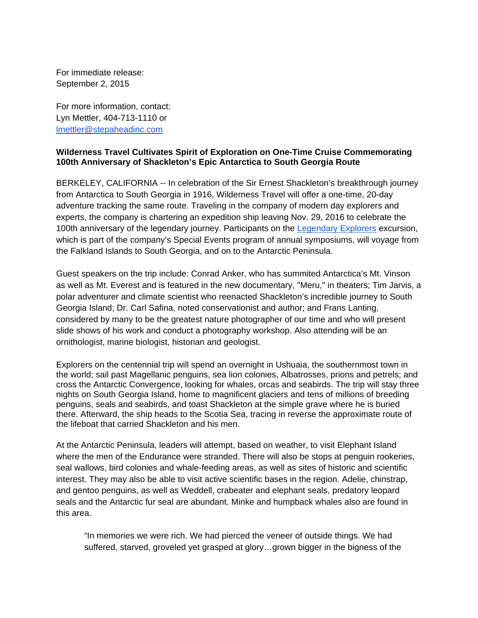For immediate release: September 2, 2015

For more information, contact: Lyn Mettler, 404-713-1110 or lmettler@stepaheadinc.com

## **Wilderness Travel Cultivates Spirit of Exploration on One-Time Cruise Commemorating 100th Anniversary of Shackleton's Epic Antarctica to South Georgia Route**

BERKELEY, CALIFORNIA -- In celebration of the Sir Ernest Shackleton's breakthrough journey from Antarctica to South Georgia in 1916, Wilderness Travel will offer a one-time, 20-day adventure tracking the same route. Traveling in the company of modern day explorers and experts, the company is chartering an expedition ship leaving Nov. 29, 2016 to celebrate the 100th anniversary of the legendary journey. Participants on the [Legendary Explorers](http://www.wildernesstravel.com/trip/antarctica/shackleton-centennial-voyage-antarctica-south-georgia-falklands) excursion, which is part of the company's Special Events program of annual symposiums, will voyage from the Falkland Islands to South Georgia, and on to the Antarctic Peninsula.

Guest speakers on the trip include: Conrad Anker, who has summited Antarctica's Mt. Vinson as well as Mt. Everest and is featured in the new documentary, "Meru," in theaters; Tim Jarvis, a polar adventurer and climate scientist who reenacted Shackleton's incredible journey to South Georgia Island; Dr. Carl Safina, noted conservationist and author; and Frans Lanting, considered by many to be the greatest nature photographer of our time and who will present slide shows of his work and conduct a photography workshop. Also attending will be an ornithologist, marine biologist, historian and geologist.

Explorers on the centennial trip will spend an overnight in Ushuaia, the southernmost town in the world; sail past Magellanic penguins, sea lion colonies, Albatrosses, prions and petrels; and cross the Antarctic Convergence, looking for whales, orcas and seabirds. The trip will stay three nights on South Georgia Island, home to magnificent glaciers and tens of millions of breeding penguins, seals and seabirds, and toast Shackleton at the simple grave where he is buried there. Afterward, the ship heads to the Scotia Sea, tracing in reverse the approximate route of the lifeboat that carried Shackleton and his men.

At the Antarctic Peninsula, leaders will attempt, based on weather, to visit Elephant Island where the men of the Endurance were stranded. There will also be stops at penguin rookeries, seal wallows, bird colonies and whale-feeding areas, as well as sites of historic and scientific interest. They may also be able to visit active scientific bases in the region. Adelie, chinstrap, and gentoo penguins, as well as Weddell, crabeater and elephant seals, predatory leopard seals and the Antarctic fur seal are abundant. Minke and humpback whales also are found in this area.

"In memories we were rich. We had pierced the veneer of outside things. We had suffered, starved, groveled yet grasped at glory…grown bigger in the bigness of the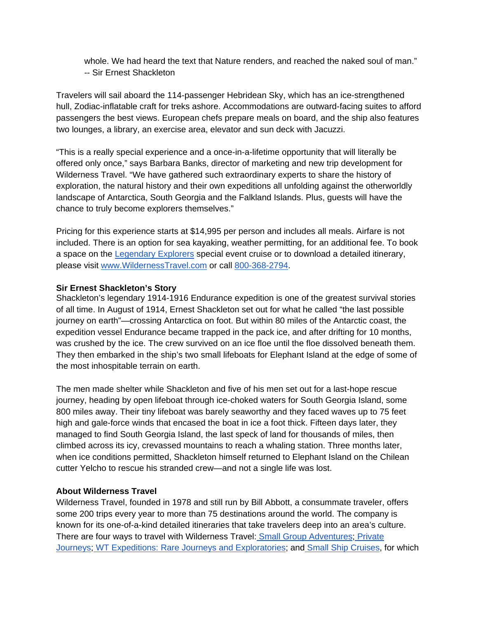whole. We had heard the text that Nature renders, and reached the naked soul of man." -- Sir Ernest Shackleton

Travelers will sail aboard the 114-passenger Hebridean Sky, which has an ice-strengthened hull, Zodiac-inflatable craft for treks ashore. Accommodations are outward-facing suites to afford passengers the best views. European chefs prepare meals on board, and the ship also features two lounges, a library, an exercise area, elevator and sun deck with Jacuzzi.

"This is a really special experience and a once-in-a-lifetime opportunity that will literally be offered only once," says Barbara Banks, director of marketing and new trip development for Wilderness Travel. "We have gathered such extraordinary experts to share the history of exploration, the natural history and their own expeditions all unfolding against the otherworldly landscape of Antarctica, South Georgia and the Falkland Islands. Plus, guests will have the chance to truly become explorers themselves."

Pricing for this experience starts at \$14,995 per person and includes all meals. Airfare is not included. There is an option for sea kayaking, weather permitting, for an additional fee. To book a space on the [Legendary Explorers](http://www.wildernesstravel.com/trip/antarctica/shackleton-centennial-voyage-antarctica-south-georgia-falklands) special event cruise or to download a detailed itinerary, please visit [www.WildernessTravel.com o](http://www.wildernesstravel.com)r call 800-368-2794.

## **Sir Ernest Shackleton's Story**

Shackleton's legendary 1914-1916 Endurance expedition is one of the greatest survival stories of all time. In August of 1914, Ernest Shackleton set out for what he called "the last possible journey on earth"—crossing Antarctica on foot. But within 80 miles of the Antarctic coast, the expedition vessel Endurance became trapped in the pack ice, and after drifting for 10 months, was crushed by the ice. The crew survived on an ice floe until the floe dissolved beneath them. They then embarked in the ship's two small lifeboats for Elephant Island at the edge of some of the most inhospitable terrain on earth.

The men made shelter while Shackleton and five of his men set out for a last-hope rescue journey, heading by open lifeboat through ice-choked waters for South Georgia Island, some 800 miles away. Their tiny lifeboat was barely seaworthy and they faced waves up to 75 feet high and gale-force winds that encased the boat in ice a foot thick. Fifteen days later, they managed to find South Georgia Island, the last speck of land for thousands of miles, then climbed across its icy, crevassed mountains to reach a whaling station. Three months later, when ice conditions permitted, Shackleton himself returned to Elephant Island on the Chilean cutter Yelcho to rescue his stranded crew—and not a single life was lost.

## **About Wilderness Travel**

Wilderness Travel, founded in 1978 and still run by Bill Abbott, a consummate traveler, offers some 200 trips every year to more than 75 destinations around the world. The company is known for its one-of-a-kind detailed itineraries that take travelers deep into an area's culture. There are four ways to travel with Wilderness Travel[: Small Group Adventures;](http://www.wildernesstravel.com/our-trips/small-group-adventures) [Private](http://www.wildernesstravel.com/trips/private-journeys)  [Journeys;](http://www.wildernesstravel.com/trips/private-journeys) [WT Expeditions: Rare Journeys and Exploratories;](http://www.wildernesstravel.com/our-trips/wt-expeditions) an[d Small Ship Cruises,](http://www.wildernesstravel.com/trips/small-ship-cruises) for which